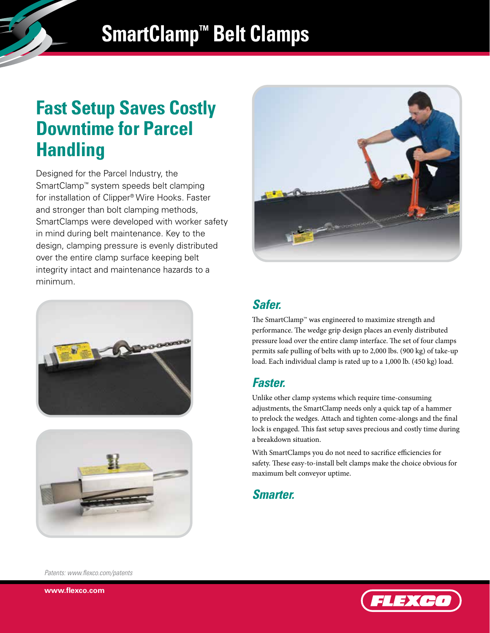# **SmartClamp™ Belt Clamps**

# **Fast Setup Saves Costly Downtime for Parcel Handling**

Designed for the Parcel Industry, the SmartClamp™ system speeds belt clamping for installation of Clipper® Wire Hooks. Faster and stronger than bolt clamping methods, SmartClamps were developed with worker safety in mind during belt maintenance. Key to the design, clamping pressure is evenly distributed over the entire clamp surface keeping belt integrity intact and maintenance hazards to a minimum.







## *Safer.*

The SmartClamp™ was engineered to maximize strength and performance. The wedge grip design places an evenly distributed pressure load over the entire clamp interface. The set of four clamps permits safe pulling of belts with up to 2,000 lbs. (900 kg) of take-up load. Each individual clamp is rated up to a 1,000 lb. (450 kg) load.

### *Faster.*

Unlike other clamp systems which require time-consuming adjustments, the SmartClamp needs only a quick tap of a hammer to prelock the wedges. Attach and tighten come-alongs and the final lock is engaged. This fast setup saves precious and costly time during a breakdown situation.

With SmartClamps you do not need to sacrifice efficiencies for safety. These easy-to-install belt clamps make the choice obvious for maximum belt conveyor uptime.

#### *Smarter.*

*Patents: www.flexco.com/patents*



**www.flexco.com**